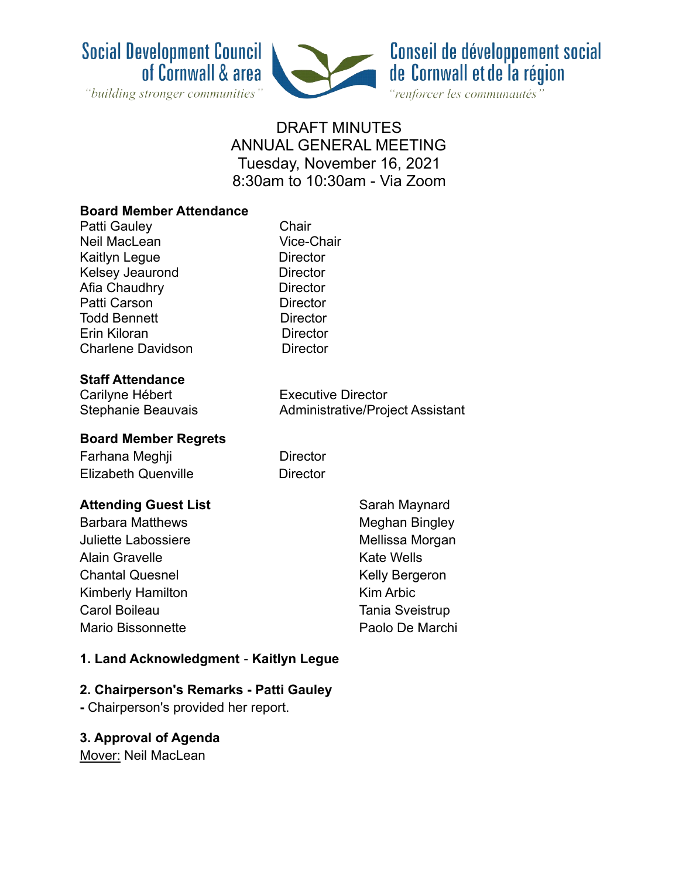



## DRAFT MINUTES ANNUAL GENERAL MEETING Tuesday, November 16, 2021 8:30am to 10:30am - Via Zoom

#### **Board Member Attendance**

| Patti Gauley             |
|--------------------------|
| Neil MacLean             |
| Kaitlyn Legue            |
| Kelsey Jeaurond          |
| Afia Chaudhry            |
| Patti Carson             |
| <b>Todd Bennett</b>      |
| Erin Kiloran             |
| <b>Charlene Davidson</b> |
|                          |

# **Staff Attendance**

Carilyne Hébert **Executive Director** 

Vice-Chair Director Director Director Director Director Director Director

Chair

Stephanie Beauvais **Administrative/Project Assistant** 

#### **Board Member Regrets**

# Farhana Meghji **Director**

Elizabeth Quenville **Director** 

#### **Attending Guest List**

Barbara Matthews Juliette Labossiere Alain Gravelle Chantal Quesnel Kimberly Hamilton Carol Boileau Mario Bissonnette

Sarah Maynard Meghan Bingley Mellissa Morgan Kate Wells Kelly Bergeron Kim Arbic Tania Sveistrup Paolo De Marchi

#### **1. Land Acknowledgment** - **Kaitlyn Legue**

#### **2. Chairperson's Remarks - Patti Gauley**

**-** Chairperson's provided her report.

#### **3. Approval of Agenda**

Mover: Neil MacLean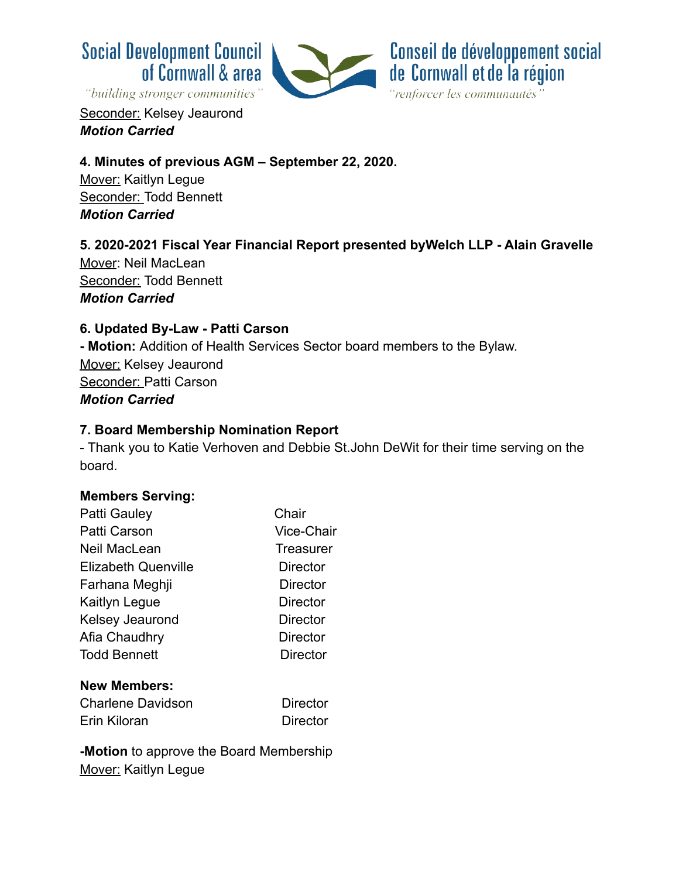



Seconder: Kelsey Jeaurond *Motion Carried*

#### **4. Minutes of previous AGM – September 22, 2020.**

Mover: Kaitlyn Legue Seconder: Todd Bennett *Motion Carried*

## **5. 2020-2021 Fiscal Year Financial Report presented byWelch LLP - Alain Gravelle**

Mover: Neil MacLean Seconder: Todd Bennett *Motion Carried*

#### **6. Updated By-Law - Patti Carson**

**- Motion:** Addition of Health Services Sector board members to the Bylaw. Mover: Kelsey Jeaurond Seconder: Patti Carson *Motion Carried*

#### **7. Board Membership Nomination Report**

- Thank you to Katie Verhoven and Debbie St.John DeWit for their time serving on the board.

#### **Members Serving:**

| Patti Gauley               | Chair           |
|----------------------------|-----------------|
| Patti Carson               | Vice-Chair      |
| Neil MacLean               | Treasurer       |
| <b>Elizabeth Quenville</b> | <b>Director</b> |
| Farhana Meghji             | Director        |
| Kaitlyn Legue              | <b>Director</b> |
| Kelsey Jeaurond            | <b>Director</b> |
| Afia Chaudhry              | Director        |
| <b>Todd Bennett</b>        | <b>Director</b> |
| <b>New Members:</b>        |                 |
| Charlene Davidson          | <b>Director</b> |
| Erin Kiloran               | Director        |

**-Motion** to approve the Board Membership Mover: Kaitlyn Legue